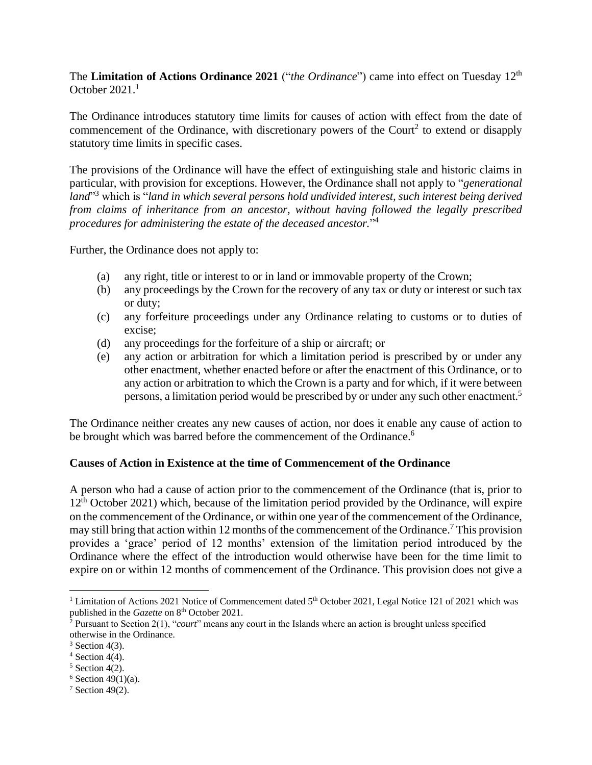The **Limitation of Actions Ordinance 2021** ("*the Ordinance*") came into effect on Tuesday 12th October 2021.<sup>1</sup>

The Ordinance introduces statutory time limits for causes of action with effect from the date of commencement of the Ordinance, with discretionary powers of the Court<sup>2</sup> to extend or disapply statutory time limits in specific cases.

The provisions of the Ordinance will have the effect of extinguishing stale and historic claims in particular, with provision for exceptions. However, the Ordinance shall not apply to "*generational land*" <sup>3</sup> which is "*land in which several persons hold undivided interest, such interest being derived from claims of inheritance from an ancestor, without having followed the legally prescribed procedures for administering the estate of the deceased ancestor.*" 4

Further, the Ordinance does not apply to:

- (a) any right, title or interest to or in land or immovable property of the Crown;
- (b) any proceedings by the Crown for the recovery of any tax or duty or interest or such tax or duty;
- (c) any forfeiture proceedings under any Ordinance relating to customs or to duties of excise;
- (d) any proceedings for the forfeiture of a ship or aircraft; or
- (e) any action or arbitration for which a limitation period is prescribed by or under any other enactment, whether enacted before or after the enactment of this Ordinance, or to any action or arbitration to which the Crown is a party and for which, if it were between persons, a limitation period would be prescribed by or under any such other enactment. 5

The Ordinance neither creates any new causes of action, nor does it enable any cause of action to be brought which was barred before the commencement of the Ordinance.<sup>6</sup>

## **Causes of Action in Existence at the time of Commencement of the Ordinance**

A person who had a cause of action prior to the commencement of the Ordinance (that is, prior to  $12<sup>th</sup>$  October 2021) which, because of the limitation period provided by the Ordinance, will expire on the commencement of the Ordinance, or within one year of the commencement of the Ordinance, may still bring that action within 12 months of the commencement of the Ordinance.<sup>7</sup> This provision provides a 'grace' period of 12 months' extension of the limitation period introduced by the Ordinance where the effect of the introduction would otherwise have been for the time limit to expire on or within 12 months of commencement of the Ordinance. This provision does not give a

<sup>&</sup>lt;sup>1</sup> Limitation of Actions 2021 Notice of Commencement dated 5<sup>th</sup> October 2021, Legal Notice 121 of 2021 which was published in the *Gazette* on 8<sup>th</sup> October 2021.

<sup>2</sup> Pursuant to Section 2(1), "*court*" means any court in the Islands where an action is brought unless specified otherwise in the Ordinance.

 $3$  Section 4(3).

 $4$  Section 4(4).

 $5$  Section 4(2).

 $6$  Section 49(1)(a).

 $7$  Section 49(2).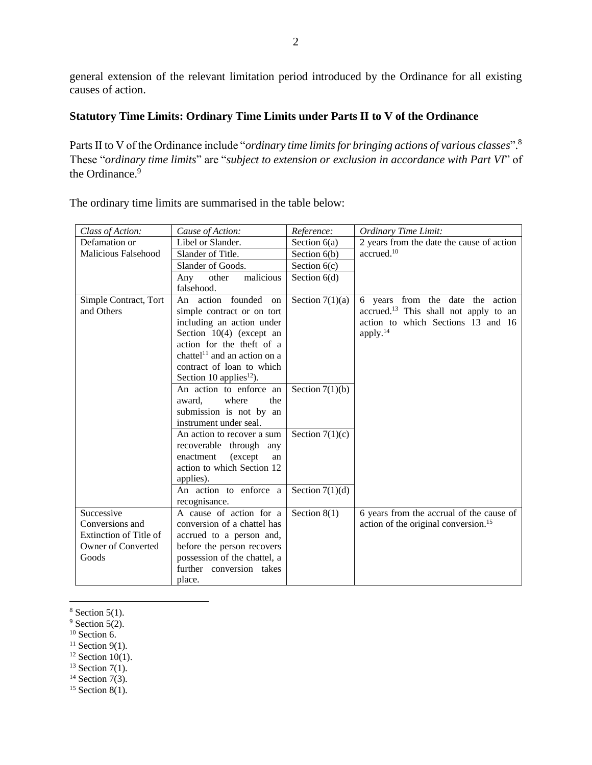general extension of the relevant limitation period introduced by the Ordinance for all existing causes of action.

## **Statutory Time Limits: Ordinary Time Limits under Parts II to V of the Ordinance**

Parts II to V of the Ordinance include "*ordinary time limits for bringing actions of various classes*". 8 These "*ordinary time limits*" are "*subject to extension or exclusion in accordance with Part VI*" of the Ordinance.<sup>9</sup>

| Class of Action:           | Cause of Action:                         | Reference:        | <b>Ordinary Time Limit:</b>                       |
|----------------------------|------------------------------------------|-------------------|---------------------------------------------------|
| Defamation or              | Libel or Slander.                        | Section $6(a)$    | 2 years from the date the cause of action         |
| <b>Malicious Falsehood</b> | Slander of Title.                        | Section $6(b)$    | accrued. <sup>10</sup>                            |
|                            | Slander of Goods.                        | Section $6(c)$    |                                                   |
|                            | malicious<br>Any<br>other                | Section $6(d)$    |                                                   |
|                            | falsehood.                               |                   |                                                   |
| Simple Contract, Tort      | An action founded<br>on                  | Section $7(1)(a)$ | 6 years from the date the action                  |
| and Others                 | simple contract or on tort               |                   | accrued. <sup>13</sup> This shall not apply to an |
|                            | including an action under                |                   | action to which Sections 13 and 16                |
|                            | Section $10(4)$ (except an               |                   | apply. <sup>14</sup>                              |
|                            | action for the theft of a                |                   |                                                   |
|                            | chattel <sup>11</sup> and an action on a |                   |                                                   |
|                            | contract of loan to which                |                   |                                                   |
|                            | Section 10 applies <sup>12</sup> ).      |                   |                                                   |
|                            | An action to enforce an                  | Section $7(1)(b)$ |                                                   |
|                            | where<br>award.<br>the                   |                   |                                                   |
|                            | submission is not by an                  |                   |                                                   |
|                            | instrument under seal.                   |                   |                                                   |
|                            | An action to recover a sum               | Section $7(1)(c)$ |                                                   |
|                            | recoverable through<br>any               |                   |                                                   |
|                            | (except)<br>enactment<br>an              |                   |                                                   |
|                            | action to which Section 12               |                   |                                                   |
|                            | applies).                                |                   |                                                   |
|                            | An action to enforce a                   | Section $7(1)(d)$ |                                                   |
|                            | recognisance.                            |                   |                                                   |
| Successive                 | A cause of action for a                  | Section $8(1)$    | 6 years from the accrual of the cause of          |
| Conversions and            | conversion of a chattel has              |                   | action of the original conversion. <sup>15</sup>  |
| Extinction of Title of     | accrued to a person and,                 |                   |                                                   |
| <b>Owner of Converted</b>  | before the person recovers               |                   |                                                   |
| Goods                      | possession of the chattel, a             |                   |                                                   |
|                            | further conversion takes                 |                   |                                                   |
|                            | place.                                   |                   |                                                   |

The ordinary time limits are summarised in the table below:

- $10$  Section 6.
- <sup>11</sup> Section 9(1).
- <sup>12</sup> Section 10(1).
- <sup>13</sup> Section  $7(1)$ .
- $14$  Section 7(3).

<sup>15</sup> Section 8(1).

 $8$  Section 5(1).

 $9$  Section 5(2).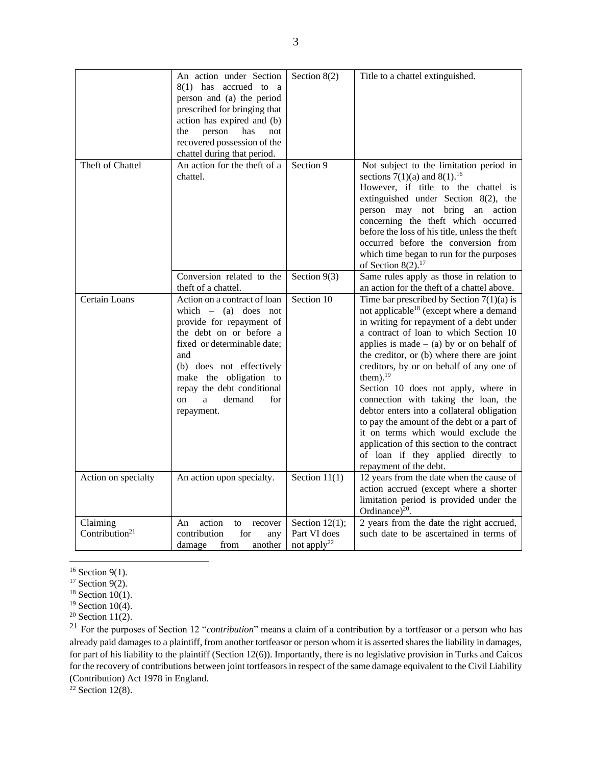|                                        | An action under Section<br>8(1) has accrued to a<br>person and (a) the period<br>prescribed for bringing that<br>action has expired and (b)<br>person<br>has<br>the<br>not<br>recovered possession of the<br>chattel during that period.                                          | Section $8(2)$                                               | Title to a chattel extinguished.                                                                                                                                                                                                                                                                                                                                                                                                                                                                                                                                                                                                                                                  |
|----------------------------------------|-----------------------------------------------------------------------------------------------------------------------------------------------------------------------------------------------------------------------------------------------------------------------------------|--------------------------------------------------------------|-----------------------------------------------------------------------------------------------------------------------------------------------------------------------------------------------------------------------------------------------------------------------------------------------------------------------------------------------------------------------------------------------------------------------------------------------------------------------------------------------------------------------------------------------------------------------------------------------------------------------------------------------------------------------------------|
| Theft of Chattel                       | An action for the theft of a<br>chattel.                                                                                                                                                                                                                                          | Section 9                                                    | Not subject to the limitation period in<br>sections 7(1)(a) and 8(1). <sup>16</sup><br>However, if title to the chattel is<br>extinguished under Section 8(2), the<br>person may not bring an action<br>concerning the theft which occurred<br>before the loss of his title, unless the theft<br>occurred before the conversion from<br>which time began to run for the purposes<br>of Section $8(2).^{17}$                                                                                                                                                                                                                                                                       |
|                                        | Conversion related to the<br>theft of a chattel.                                                                                                                                                                                                                                  | Section $9(3)$                                               | Same rules apply as those in relation to<br>an action for the theft of a chattel above.                                                                                                                                                                                                                                                                                                                                                                                                                                                                                                                                                                                           |
| Certain Loans                          | Action on a contract of loan<br>which $-$ (a) does not<br>provide for repayment of<br>the debt on or before a<br>fixed or determinable date;<br>and<br>(b) does not effectively<br>make the obligation to<br>repay the debt conditional<br>demand<br>on<br>a<br>for<br>repayment. | Section 10                                                   | Time bar prescribed by Section $7(1)(a)$ is<br>not applicable <sup>18</sup> (except where a demand<br>in writing for repayment of a debt under<br>a contract of loan to which Section 10<br>applies is made $-$ (a) by or on behalf of<br>the creditor, or (b) where there are joint<br>creditors, by or on behalf of any one of<br>them). $19$<br>Section 10 does not apply, where in<br>connection with taking the loan, the<br>debtor enters into a collateral obligation<br>to pay the amount of the debt or a part of<br>it on terms which would exclude the<br>application of this section to the contract<br>of loan if they applied directly to<br>repayment of the debt. |
| Action on specialty                    | An action upon specialty.                                                                                                                                                                                                                                                         | Section $11(1)$                                              | 12 years from the date when the cause of<br>action accrued (except where a shorter<br>limitation period is provided under the<br>Ordinance) $^{20}$ .                                                                                                                                                                                                                                                                                                                                                                                                                                                                                                                             |
| Claiming<br>Contribution <sup>21</sup> | action<br>An<br>to<br>recover<br>for<br>contribution<br>any<br>another<br>damage<br>from                                                                                                                                                                                          | Section $12(1)$ ;<br>Part VI does<br>not apply <sup>22</sup> | 2 years from the date the right accrued,<br>such date to be ascertained in terms of                                                                                                                                                                                                                                                                                                                                                                                                                                                                                                                                                                                               |

 $16$  Section 9(1).

<sup>21</sup> For the purposes of Section 12 "*contribution*" means a claim of a contribution by a tortfeasor or a person who has already paid damages to a plaintiff, from another tortfeasor or person whom it is asserted shares the liability in damages, for part of his liability to the plaintiff (Section 12(6)). Importantly, there is no legislative provision in Turks and Caicos for the recovery of contributions between joint tortfeasors in respect of the same damage equivalent to the Civil Liability (Contribution) Act 1978 in England.

 $22$  Section 12(8).

 $17$  Section 9(2).

 $18$  Section 10(1).

 $19$  Section 10(4).

 $20$  Section 11(2).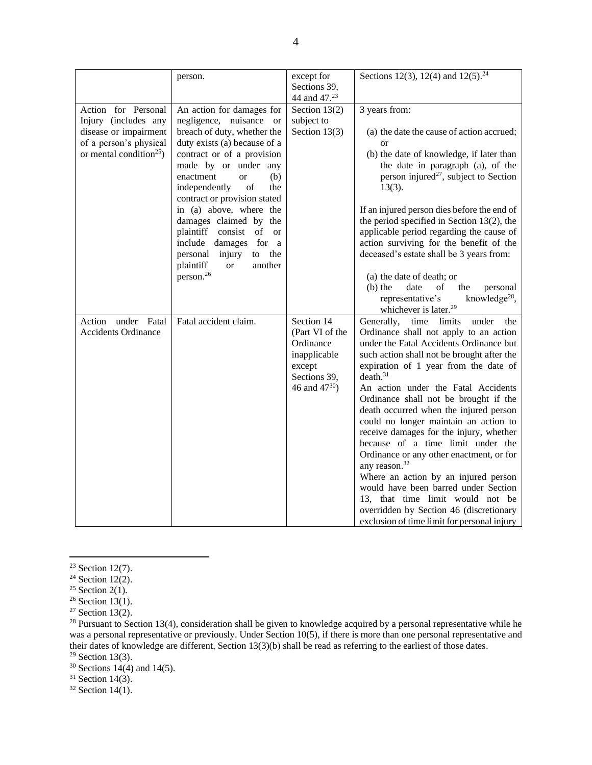|                                                                                                                                       | person.                                                                                                                                                                                                                                                                                                                                                                                                                                                                                                                 | except for<br>Sections 39,                                                                                        | Sections 12(3), 12(4) and $12(5)$ . <sup>24</sup>                                                                                                                                                                                                                                                                                                                                                                                                                                                                                                                                                                                                                                                                                                                                       |
|---------------------------------------------------------------------------------------------------------------------------------------|-------------------------------------------------------------------------------------------------------------------------------------------------------------------------------------------------------------------------------------------------------------------------------------------------------------------------------------------------------------------------------------------------------------------------------------------------------------------------------------------------------------------------|-------------------------------------------------------------------------------------------------------------------|-----------------------------------------------------------------------------------------------------------------------------------------------------------------------------------------------------------------------------------------------------------------------------------------------------------------------------------------------------------------------------------------------------------------------------------------------------------------------------------------------------------------------------------------------------------------------------------------------------------------------------------------------------------------------------------------------------------------------------------------------------------------------------------------|
|                                                                                                                                       |                                                                                                                                                                                                                                                                                                                                                                                                                                                                                                                         | 44 and 47.23                                                                                                      |                                                                                                                                                                                                                                                                                                                                                                                                                                                                                                                                                                                                                                                                                                                                                                                         |
| Action for Personal<br>Injury (includes any<br>disease or impairment<br>of a person's physical<br>or mental condition <sup>25</sup> ) | An action for damages for<br>negligence, nuisance or<br>breach of duty, whether the<br>duty exists (a) because of a<br>contract or of a provision<br>made by or under any<br>(b)<br>enactment<br><b>or</b><br>of<br>independently<br>the<br>contract or provision stated<br>in (a) above, where the<br>damages claimed by the<br>plaintiff consist<br>of<br><b>or</b><br>include<br>damages<br>for<br><sub>a</sub><br>the<br>personal<br>injury<br>to<br>plaintiff<br>another<br><sub>or</sub><br>person. <sup>26</sup> | Section $13(2)$<br>subject to<br>Section $13(3)$                                                                  | 3 years from:<br>(a) the date the cause of action accrued;<br>or<br>(b) the date of knowledge, if later than<br>the date in paragraph (a), of the<br>person injured <sup>27</sup> , subject to Section<br>$13(3)$ .<br>If an injured person dies before the end of<br>the period specified in Section $13(2)$ , the<br>applicable period regarding the cause of<br>action surviving for the benefit of the<br>deceased's estate shall be 3 years from:<br>(a) the date of death; or<br>$(b)$ the<br>date<br>of<br>the<br>personal<br>representative's<br>knowledge <sup>28</sup> ,                                                                                                                                                                                                      |
|                                                                                                                                       |                                                                                                                                                                                                                                                                                                                                                                                                                                                                                                                         |                                                                                                                   | whichever is later. <sup>29</sup>                                                                                                                                                                                                                                                                                                                                                                                                                                                                                                                                                                                                                                                                                                                                                       |
| Action under Fatal<br><b>Accidents Ordinance</b>                                                                                      | Fatal accident claim.                                                                                                                                                                                                                                                                                                                                                                                                                                                                                                   | Section 14<br>(Part VI of the<br>Ordinance<br>inapplicable<br>except<br>Sections 39,<br>46 and 47 <sup>30</sup> ) | Generally,<br>time limits<br>under<br>the<br>Ordinance shall not apply to an action<br>under the Fatal Accidents Ordinance but<br>such action shall not be brought after the<br>expiration of 1 year from the date of<br>death. <sup>31</sup><br>An action under the Fatal Accidents<br>Ordinance shall not be brought if the<br>death occurred when the injured person<br>could no longer maintain an action to<br>receive damages for the injury, whether<br>because of a time limit under the<br>Ordinance or any other enactment, or for<br>any reason. <sup>32</sup><br>Where an action by an injured person<br>would have been barred under Section<br>13, that time limit would not be<br>overridden by Section 46 (discretionary<br>exclusion of time limit for personal injury |

<sup>&</sup>lt;sup>23</sup> Section 12(7).

 $24$  Section 12(2).

<sup>&</sup>lt;sup>25</sup> Section 2(1).

 $26$  Section 13(1).

 $27$  Section 13(2).

<sup>&</sup>lt;sup>28</sup> Pursuant to Section 13(4), consideration shall be given to knowledge acquired by a personal representative while he was a personal representative or previously. Under Section 10(5), if there is more than one personal representative and their dates of knowledge are different, Section 13(3)(b) shall be read as referring to the earliest of those dates.

 $29$  Section 13(3).

 $30$  Sections 14(4) and 14(5).

 $32$  Section 14(1).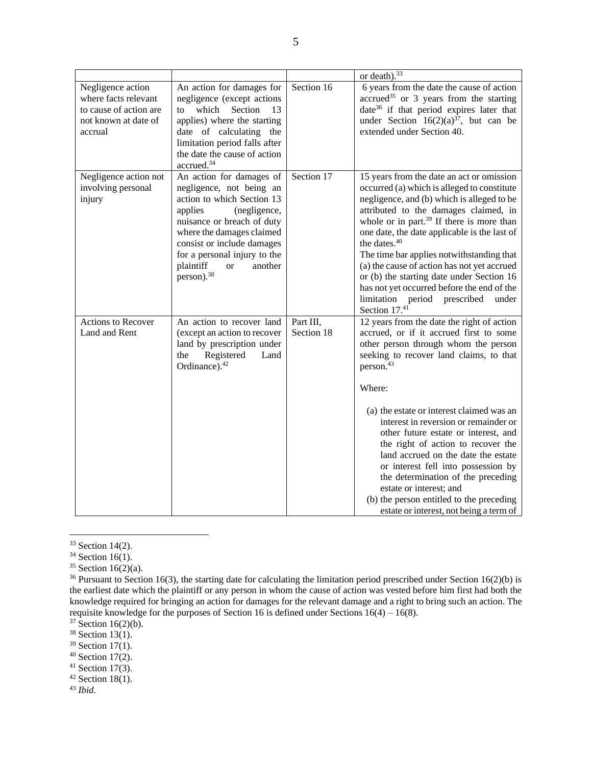|                                                                                                        |                                                                                                                                                                                                                                                                                                       |                         | or death). $33$                                                                                                                                                                                                                                                                                                                                                                                                                                                                                                                                                                                                       |
|--------------------------------------------------------------------------------------------------------|-------------------------------------------------------------------------------------------------------------------------------------------------------------------------------------------------------------------------------------------------------------------------------------------------------|-------------------------|-----------------------------------------------------------------------------------------------------------------------------------------------------------------------------------------------------------------------------------------------------------------------------------------------------------------------------------------------------------------------------------------------------------------------------------------------------------------------------------------------------------------------------------------------------------------------------------------------------------------------|
| Negligence action<br>where facts relevant<br>to cause of action are<br>not known at date of<br>accrual | An action for damages for<br>negligence (except actions<br>which<br>Section<br>to<br>13<br>applies) where the starting<br>date of calculating the<br>limitation period falls after<br>the date the cause of action<br>accrued. <sup>34</sup>                                                          | Section 16              | 6 years from the date the cause of action<br>accrued <sup>35</sup> or 3 years from the starting<br>date <sup>36</sup> if that period expires later that<br>under Section $16(2)(a)^{37}$ , but can be<br>extended under Section 40.                                                                                                                                                                                                                                                                                                                                                                                   |
| Negligence action not<br>involving personal<br>injury                                                  | An action for damages of<br>negligence, not being an<br>action to which Section 13<br>(negligence,<br>applies<br>nuisance or breach of duty<br>where the damages claimed<br>consist or include damages<br>for a personal injury to the<br>plaintiff<br>another<br><b>or</b><br>person). <sup>38</sup> | Section 17              | 15 years from the date an act or omission<br>occurred (a) which is alleged to constitute<br>negligence, and (b) which is alleged to be<br>attributed to the damages claimed, in<br>whole or in part. <sup>39</sup> If there is more than<br>one date, the date applicable is the last of<br>the dates. <sup>40</sup><br>The time bar applies notwithstanding that<br>(a) the cause of action has not yet accrued<br>or (b) the starting date under Section 16<br>has not yet occurred before the end of the<br>limitation period<br>prescribed<br>under<br>Section 17.41                                              |
| <b>Actions to Recover</b><br>Land and Rent                                                             | An action to recover land<br>(except an action to recover<br>land by prescription under<br>the<br>Registered<br>Land<br>Ordinance). <sup>42</sup>                                                                                                                                                     | Part III,<br>Section 18 | 12 years from the date the right of action<br>accrued, or if it accrued first to some<br>other person through whom the person<br>seeking to recover land claims, to that<br>person. <sup>43</sup><br>Where:<br>(a) the estate or interest claimed was an<br>interest in reversion or remainder or<br>other future estate or interest, and<br>the right of action to recover the<br>land accrued on the date the estate<br>or interest fell into possession by<br>the determination of the preceding<br>estate or interest; and<br>(b) the person entitled to the preceding<br>estate or interest, not being a term of |

<sup>&</sup>lt;sup>33</sup> Section 14(2).

<sup>43</sup> *Ibid*.

<sup>&</sup>lt;sup>34</sup> Section 16(1).

 $35$  Section 16(2)(a).

 $36$  Pursuant to Section 16(3), the starting date for calculating the limitation period prescribed under Section 16(2)(b) is the earliest date which the plaintiff or any person in whom the cause of action was vested before him first had both the knowledge required for bringing an action for damages for the relevant damage and a right to bring such an action. The requisite knowledge for the purposes of Section 16 is defined under Sections  $16(4) - 16(8)$ .

 $37$  Section 16(2)(b).

 $38$  Section 13(1).

 $39$  Section 17(1).

 $40$  Section 17(2).

 $41$  Section 17(3).  $42$  Section 18(1).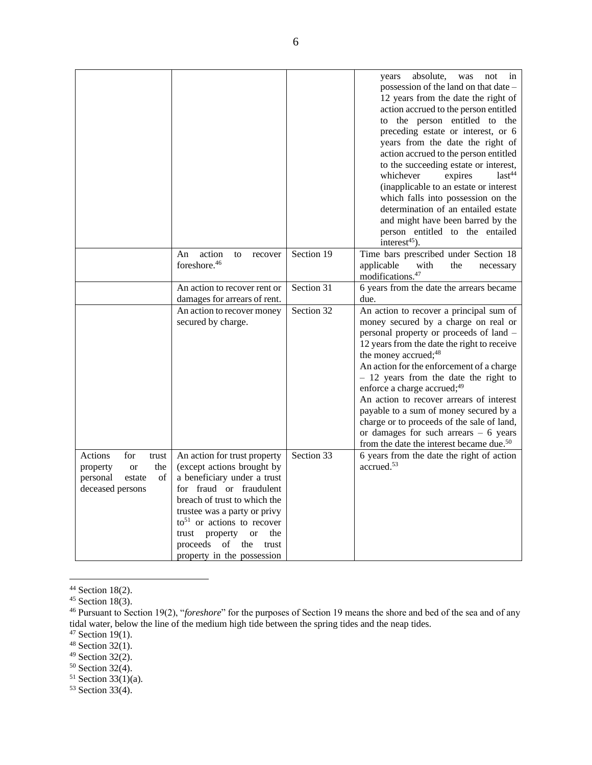|                                                                                                  |                                                                                                                                                                                                                                                                                                                                           |            | absolute,<br>years<br>was<br>not<br>in<br>possession of the land on that date –<br>12 years from the date the right of<br>action accrued to the person entitled<br>to the person entitled to the<br>preceding estate or interest, or 6<br>years from the date the right of<br>action accrued to the person entitled<br>to the succeeding estate or interest,<br>$last^{44}$<br>whichever<br>expires<br>(inapplicable to an estate or interest<br>which falls into possession on the<br>determination of an entailed estate<br>and might have been barred by the<br>person entitled to the entailed<br>interest $45$ ). |
|--------------------------------------------------------------------------------------------------|-------------------------------------------------------------------------------------------------------------------------------------------------------------------------------------------------------------------------------------------------------------------------------------------------------------------------------------------|------------|------------------------------------------------------------------------------------------------------------------------------------------------------------------------------------------------------------------------------------------------------------------------------------------------------------------------------------------------------------------------------------------------------------------------------------------------------------------------------------------------------------------------------------------------------------------------------------------------------------------------|
|                                                                                                  | action<br>An<br>to<br>recover<br>foreshore. <sup>46</sup>                                                                                                                                                                                                                                                                                 | Section 19 | Time bars prescribed under Section 18<br>applicable<br>with<br>the<br>necessary<br>modifications. <sup>47</sup>                                                                                                                                                                                                                                                                                                                                                                                                                                                                                                        |
|                                                                                                  | An action to recover rent or<br>damages for arrears of rent.                                                                                                                                                                                                                                                                              | Section 31 | 6 years from the date the arrears became<br>due.                                                                                                                                                                                                                                                                                                                                                                                                                                                                                                                                                                       |
|                                                                                                  | An action to recover money<br>secured by charge.                                                                                                                                                                                                                                                                                          | Section 32 | An action to recover a principal sum of<br>money secured by a charge on real or<br>personal property or proceeds of land -<br>12 years from the date the right to receive<br>the money accrued; <sup>48</sup><br>An action for the enforcement of a charge<br>$-12$ years from the date the right to<br>enforce a charge accrued; $49$<br>An action to recover arrears of interest<br>payable to a sum of money secured by a<br>charge or to proceeds of the sale of land,<br>or damages for such arrears $-6$ years<br>from the date the interest became due. <sup>50</sup>                                           |
| Actions<br>for<br>trust<br>the<br>property<br>or<br>personal<br>of<br>estate<br>deceased persons | An action for trust property<br>(except actions brought by<br>a beneficiary under a trust<br>for fraud or fraudulent<br>breach of trust to which the<br>trustee was a party or privy<br>$to$ <sup>51</sup> or actions to recover<br>trust<br>property<br>the<br><b>or</b><br>of<br>proceeds<br>the<br>trust<br>property in the possession | Section 33 | 6 years from the date the right of action<br>accrued. <sup>53</sup>                                                                                                                                                                                                                                                                                                                                                                                                                                                                                                                                                    |

<sup>&</sup>lt;sup>44</sup> Section 18(2).

<sup>50</sup> Section 32(4).

 $45$  Section 18(3).

<sup>46</sup> Pursuant to Section 19(2), "*foreshore*" for the purposes of Section 19 means the shore and bed of the sea and of any tidal water, below the line of the medium high tide between the spring tides and the neap tides.

 $47$  Section 19(1).

 $48$  Section 32(1).

 $49$  Section 32(2).

 $51$  Section 33(1)(a).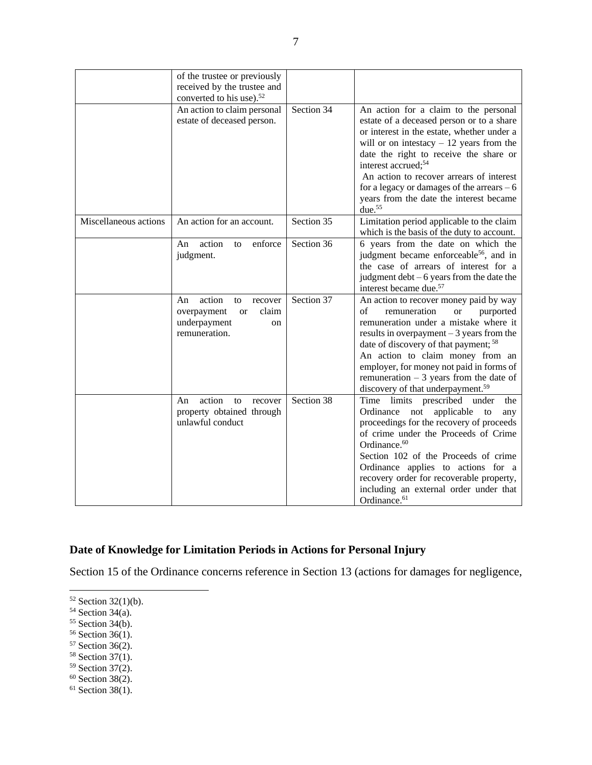|                       | of the trustee or previously<br>received by the trustee and<br>converted to his use). <sup>52</sup><br>An action to claim personal | Section 34 | An action for a claim to the personal                                                                                                                                                                                                                                                                                                                                                               |
|-----------------------|------------------------------------------------------------------------------------------------------------------------------------|------------|-----------------------------------------------------------------------------------------------------------------------------------------------------------------------------------------------------------------------------------------------------------------------------------------------------------------------------------------------------------------------------------------------------|
|                       | estate of deceased person.                                                                                                         |            | estate of a deceased person or to a share<br>or interest in the estate, whether under a<br>will or on intestacy $-12$ years from the<br>date the right to receive the share or<br>interest accrued; <sup>54</sup><br>An action to recover arrears of interest<br>for a legacy or damages of the arrears $-6$<br>years from the date the interest became<br>due. $55$                                |
| Miscellaneous actions | An action for an account.                                                                                                          | Section 35 | Limitation period applicable to the claim<br>which is the basis of the duty to account.                                                                                                                                                                                                                                                                                                             |
|                       | action<br>enforce<br>An<br>to<br>judgment.                                                                                         | Section 36 | 6 years from the date on which the<br>judgment became enforceable <sup>56</sup> , and in<br>the case of arrears of interest for a<br>judgment $debt - 6$ years from the date the<br>interest became due. <sup>57</sup>                                                                                                                                                                              |
|                       | action<br>An<br>recover<br>to<br>claim<br>overpayment<br><b>or</b><br>underpayment<br>on<br>remuneration.                          | Section 37 | An action to recover money paid by way<br>remuneration<br>of<br><b>or</b><br>purported<br>remuneration under a mistake where it<br>results in overpayment $-3$ years from the<br>date of discovery of that payment; 58<br>An action to claim money from an<br>employer, for money not paid in forms of<br>remuneration $-3$ years from the date of<br>discovery of that underpayment. <sup>59</sup> |
|                       | action<br>An<br>to<br>recover<br>property obtained through<br>unlawful conduct                                                     | Section 38 | Time limits prescribed under<br>the<br>Ordinance<br>applicable<br>not<br>to<br>any<br>proceedings for the recovery of proceeds<br>of crime under the Proceeds of Crime<br>Ordinance. <sup>60</sup><br>Section 102 of the Proceeds of crime<br>Ordinance applies to actions for a<br>recovery order for recoverable property,<br>including an external order under that<br>Ordinance. <sup>61</sup>  |

# **Date of Knowledge for Limitation Periods in Actions for Personal Injury**

Section 15 of the Ordinance concerns reference in Section 13 (actions for damages for negligence,

- <sup>58</sup> Section 37(1).
- <sup>59</sup> Section 37(2).
- $60$  Section 38(2).

 $52$  Section 32(1)(b).

<sup>54</sup> Section 34(a).

 $55$  Section 34(b).

<sup>56</sup> Section 36(1).

<sup>57</sup> Section 36(2).

 $61$  Section 38(1).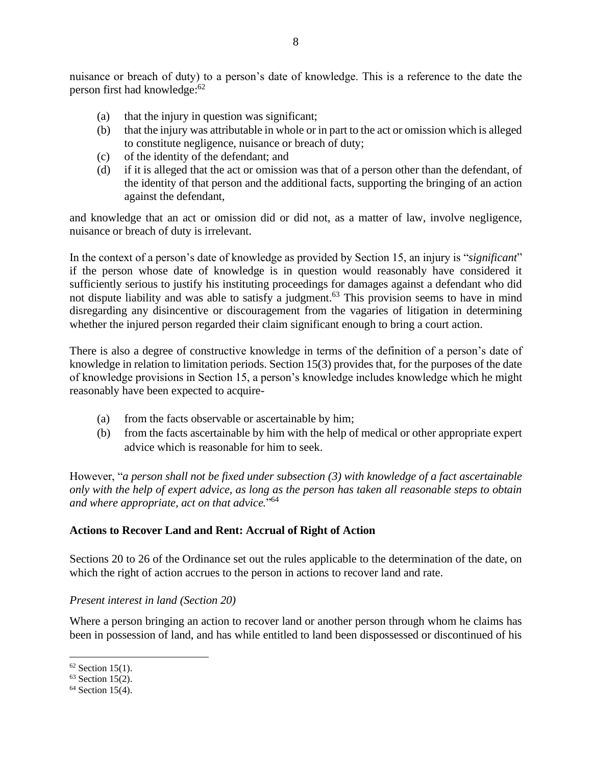nuisance or breach of duty) to a person's date of knowledge. This is a reference to the date the person first had knowledge: 62

- (a) that the injury in question was significant;
- (b) that the injury was attributable in whole or in part to the act or omission which is alleged to constitute negligence, nuisance or breach of duty;
- (c) of the identity of the defendant; and
- (d) if it is alleged that the act or omission was that of a person other than the defendant, of the identity of that person and the additional facts, supporting the bringing of an action against the defendant,

and knowledge that an act or omission did or did not, as a matter of law, involve negligence, nuisance or breach of duty is irrelevant.

In the context of a person's date of knowledge as provided by Section 15, an injury is "*significant*" if the person whose date of knowledge is in question would reasonably have considered it sufficiently serious to justify his instituting proceedings for damages against a defendant who did not dispute liability and was able to satisfy a judgment.<sup>63</sup> This provision seems to have in mind disregarding any disincentive or discouragement from the vagaries of litigation in determining whether the injured person regarded their claim significant enough to bring a court action.

There is also a degree of constructive knowledge in terms of the definition of a person's date of knowledge in relation to limitation periods. Section 15(3) provides that, for the purposes of the date of knowledge provisions in Section 15, a person's knowledge includes knowledge which he might reasonably have been expected to acquire-

- (a) from the facts observable or ascertainable by him;
- (b) from the facts ascertainable by him with the help of medical or other appropriate expert advice which is reasonable for him to seek.

However, "*a person shall not be fixed under subsection (3) with knowledge of a fact ascertainable only with the help of expert advice, as long as the person has taken all reasonable steps to obtain and where appropriate, act on that advice.*" 64

## **Actions to Recover Land and Rent: Accrual of Right of Action**

Sections 20 to 26 of the Ordinance set out the rules applicable to the determination of the date, on which the right of action accrues to the person in actions to recover land and rate.

#### *Present interest in land (Section 20)*

Where a person bringing an action to recover land or another person through whom he claims has been in possession of land, and has while entitled to land been dispossessed or discontinued of his

 $62$  Section 15(1).

 $63$  Section 15(2).

<sup>&</sup>lt;sup>64</sup> Section 15(4).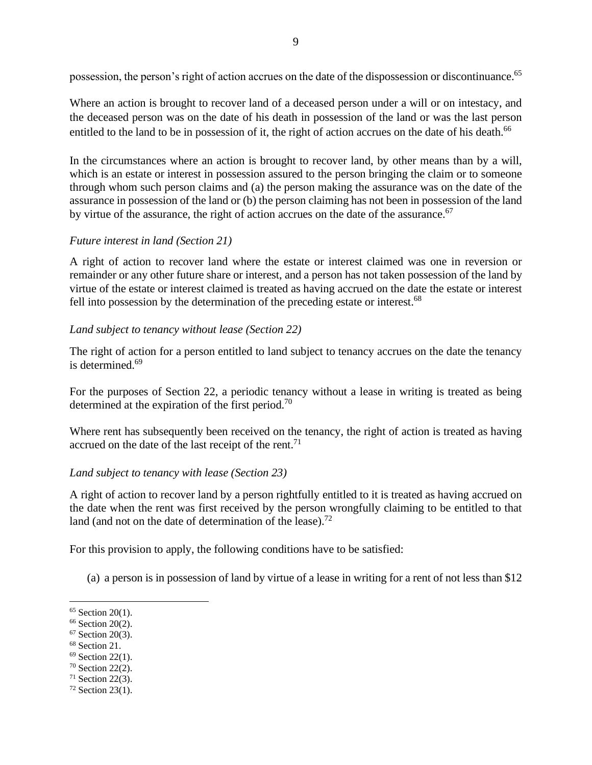possession, the person's right of action accrues on the date of the dispossession or discontinuance.<sup>65</sup>

Where an action is brought to recover land of a deceased person under a will or on intestacy, and the deceased person was on the date of his death in possession of the land or was the last person entitled to the land to be in possession of it, the right of action accrues on the date of his death.<sup>66</sup>

In the circumstances where an action is brought to recover land, by other means than by a will, which is an estate or interest in possession assured to the person bringing the claim or to someone through whom such person claims and (a) the person making the assurance was on the date of the assurance in possession of the land or (b) the person claiming has not been in possession of the land by virtue of the assurance, the right of action accrues on the date of the assurance.<sup>67</sup>

## *Future interest in land (Section 21)*

A right of action to recover land where the estate or interest claimed was one in reversion or remainder or any other future share or interest, and a person has not taken possession of the land by virtue of the estate or interest claimed is treated as having accrued on the date the estate or interest fell into possession by the determination of the preceding estate or interest.<sup>68</sup>

## *Land subject to tenancy without lease (Section 22)*

The right of action for a person entitled to land subject to tenancy accrues on the date the tenancy is determined. 69

For the purposes of Section 22, a periodic tenancy without a lease in writing is treated as being determined at the expiration of the first period.<sup>70</sup>

Where rent has subsequently been received on the tenancy, the right of action is treated as having accrued on the date of the last receipt of the rent.<sup>71</sup>

#### *Land subject to tenancy with lease (Section 23)*

A right of action to recover land by a person rightfully entitled to it is treated as having accrued on the date when the rent was first received by the person wrongfully claiming to be entitled to that land (and not on the date of determination of the lease).<sup>72</sup>

For this provision to apply, the following conditions have to be satisfied:

(a) a person is in possession of land by virtue of a lease in writing for a rent of not less than \$12

- <sup>67</sup> Section 20(3).
- <sup>68</sup> Section 21.
- $69$  Section 22(1).
- <sup>70</sup> Section 22(2).
- $71$  Section 22(3).
- <sup>72</sup> Section 23(1).

 $65$  Section 20(1).

<sup>&</sup>lt;sup>66</sup> Section 20(2).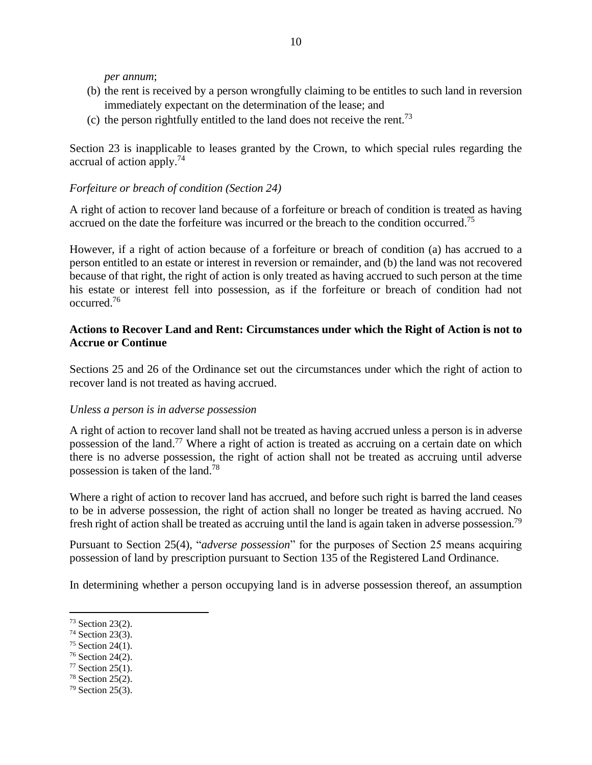*per annum*;

- (b) the rent is received by a person wrongfully claiming to be entitles to such land in reversion immediately expectant on the determination of the lease; and
- (c) the person rightfully entitled to the land does not receive the rent.<sup>73</sup>

Section 23 is inapplicable to leases granted by the Crown, to which special rules regarding the accrual of action apply.<sup>74</sup>

### *Forfeiture or breach of condition (Section 24)*

A right of action to recover land because of a forfeiture or breach of condition is treated as having accrued on the date the forfeiture was incurred or the breach to the condition occurred.<sup>75</sup>

However, if a right of action because of a forfeiture or breach of condition (a) has accrued to a person entitled to an estate or interest in reversion or remainder, and (b) the land was not recovered because of that right, the right of action is only treated as having accrued to such person at the time his estate or interest fell into possession, as if the forfeiture or breach of condition had not occurred. 76

### **Actions to Recover Land and Rent: Circumstances under which the Right of Action is not to Accrue or Continue**

Sections 25 and 26 of the Ordinance set out the circumstances under which the right of action to recover land is not treated as having accrued.

#### *Unless a person is in adverse possession*

A right of action to recover land shall not be treated as having accrued unless a person is in adverse possession of the land.<sup>77</sup> Where a right of action is treated as accruing on a certain date on which there is no adverse possession, the right of action shall not be treated as accruing until adverse possession is taken of the land.<sup>78</sup>

Where a right of action to recover land has accrued, and before such right is barred the land ceases to be in adverse possession, the right of action shall no longer be treated as having accrued. No fresh right of action shall be treated as accruing until the land is again taken in adverse possession.<sup>79</sup>

Pursuant to Section 25(4), "*adverse possession*" for the purposes of Section 25 means acquiring possession of land by prescription pursuant to Section 135 of the Registered Land Ordinance.

In determining whether a person occupying land is in adverse possession thereof, an assumption

- <sup>74</sup> Section 23(3).
- <sup>75</sup> Section 24(1).
- <sup>76</sup> Section 24(2).
- $77$  Section 25(1).
- <sup>78</sup> Section 25(2).
- <sup>79</sup> Section 25(3).

<sup>73</sup> Section 23(2).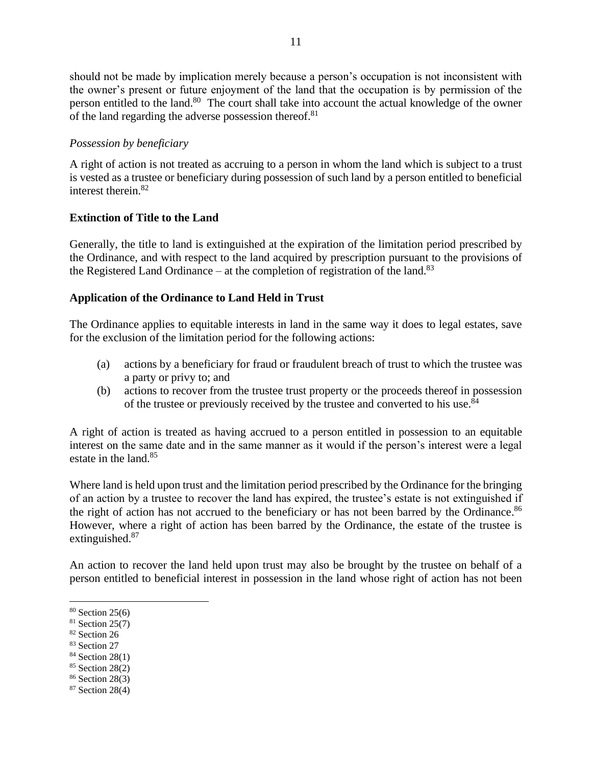should not be made by implication merely because a person's occupation is not inconsistent with the owner's present or future enjoyment of the land that the occupation is by permission of the person entitled to the land.<sup>80</sup> The court shall take into account the actual knowledge of the owner of the land regarding the adverse possession thereof.<sup>81</sup>

## *Possession by beneficiary*

A right of action is not treated as accruing to a person in whom the land which is subject to a trust is vested as a trustee or beneficiary during possession of such land by a person entitled to beneficial interest therein. 82

## **Extinction of Title to the Land**

Generally, the title to land is extinguished at the expiration of the limitation period prescribed by the Ordinance, and with respect to the land acquired by prescription pursuant to the provisions of the Registered Land Ordinance – at the completion of registration of the land.<sup>83</sup>

## **Application of the Ordinance to Land Held in Trust**

The Ordinance applies to equitable interests in land in the same way it does to legal estates, save for the exclusion of the limitation period for the following actions:

- (a) actions by a beneficiary for fraud or fraudulent breach of trust to which the trustee was a party or privy to; and
- (b) actions to recover from the trustee trust property or the proceeds thereof in possession of the trustee or previously received by the trustee and converted to his use.<sup>84</sup>

A right of action is treated as having accrued to a person entitled in possession to an equitable interest on the same date and in the same manner as it would if the person's interest were a legal estate in the land. 85

Where land is held upon trust and the limitation period prescribed by the Ordinance for the bringing of an action by a trustee to recover the land has expired, the trustee's estate is not extinguished if the right of action has not accrued to the beneficiary or has not been barred by the Ordinance.<sup>86</sup> However, where a right of action has been barred by the Ordinance, the estate of the trustee is extinguished.<sup>87</sup>

An action to recover the land held upon trust may also be brought by the trustee on behalf of a person entitled to beneficial interest in possession in the land whose right of action has not been

- <sup>82</sup> Section 26
- <sup>83</sup> Section 27
- $84$  Section 28(1)
- <sup>85</sup> Section 28(2)
- <sup>86</sup> Section 28(3)
- <sup>87</sup> Section 28(4)

<sup>80</sup> Section 25(6)

 $81$  Section 25(7)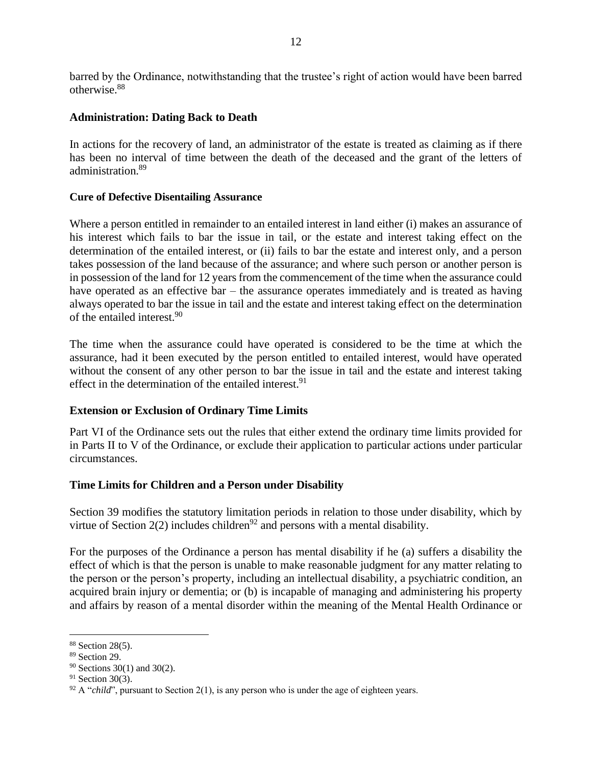barred by the Ordinance, notwithstanding that the trustee's right of action would have been barred otherwise. 88

#### **Administration: Dating Back to Death**

In actions for the recovery of land, an administrator of the estate is treated as claiming as if there has been no interval of time between the death of the deceased and the grant of the letters of administration. 89

#### **Cure of Defective Disentailing Assurance**

Where a person entitled in remainder to an entailed interest in land either (i) makes an assurance of his interest which fails to bar the issue in tail, or the estate and interest taking effect on the determination of the entailed interest, or (ii) fails to bar the estate and interest only, and a person takes possession of the land because of the assurance; and where such person or another person is in possession of the land for 12 years from the commencement of the time when the assurance could have operated as an effective bar – the assurance operates immediately and is treated as having always operated to bar the issue in tail and the estate and interest taking effect on the determination of the entailed interest. 90

The time when the assurance could have operated is considered to be the time at which the assurance, had it been executed by the person entitled to entailed interest, would have operated without the consent of any other person to bar the issue in tail and the estate and interest taking effect in the determination of the entailed interest.<sup>91</sup>

#### **Extension or Exclusion of Ordinary Time Limits**

Part VI of the Ordinance sets out the rules that either extend the ordinary time limits provided for in Parts II to V of the Ordinance, or exclude their application to particular actions under particular circumstances.

#### **Time Limits for Children and a Person under Disability**

Section 39 modifies the statutory limitation periods in relation to those under disability, which by virtue of Section 2(2) includes children<sup>92</sup> and persons with a mental disability.

For the purposes of the Ordinance a person has mental disability if he (a) suffers a disability the effect of which is that the person is unable to make reasonable judgment for any matter relating to the person or the person's property, including an intellectual disability, a psychiatric condition, an acquired brain injury or dementia; or (b) is incapable of managing and administering his property and affairs by reason of a mental disorder within the meaning of the Mental Health Ordinance or

<sup>88</sup> Section 28(5).

<sup>89</sup> Section 29.

<sup>90</sup> Sections 30(1) and 30(2).

 $91$  Section 30(3).

 $92$  A "*child*", pursuant to Section 2(1), is any person who is under the age of eighteen years.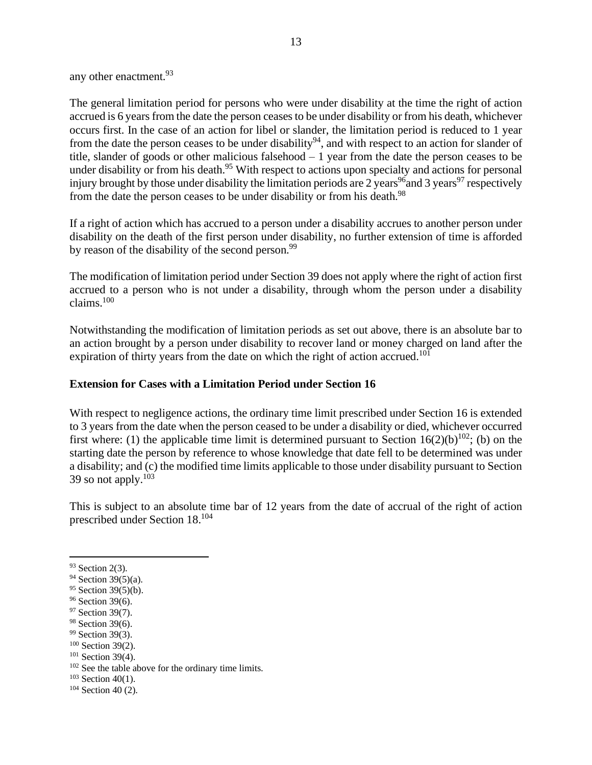any other enactment. 93

The general limitation period for persons who were under disability at the time the right of action accrued is 6 years from the date the person ceases to be under disability or from his death, whichever occurs first. In the case of an action for libel or slander, the limitation period is reduced to 1 year from the date the person ceases to be under disability<sup>94</sup>, and with respect to an action for slander of title, slander of goods or other malicious falsehood – 1 year from the date the person ceases to be under disability or from his death.<sup>95</sup> With respect to actions upon specialty and actions for personal injury brought by those under disability the limitation periods are 2 years<sup>96</sup> and 3 years<sup>97</sup> respectively from the date the person ceases to be under disability or from his death.<sup>98</sup>

If a right of action which has accrued to a person under a disability accrues to another person under disability on the death of the first person under disability, no further extension of time is afforded by reason of the disability of the second person.<sup>99</sup>

The modification of limitation period under Section 39 does not apply where the right of action first accrued to a person who is not under a disability, through whom the person under a disability claims. 100

Notwithstanding the modification of limitation periods as set out above, there is an absolute bar to an action brought by a person under disability to recover land or money charged on land after the expiration of thirty years from the date on which the right of action accrued.<sup>101</sup>

#### **Extension for Cases with a Limitation Period under Section 16**

With respect to negligence actions, the ordinary time limit prescribed under Section 16 is extended to 3 years from the date when the person ceased to be under a disability or died, whichever occurred first where: (1) the applicable time limit is determined pursuant to Section  $16(2)(b)^{102}$ ; (b) on the starting date the person by reference to whose knowledge that date fell to be determined was under a disability; and (c) the modified time limits applicable to those under disability pursuant to Section 39 so not apply. $103$ 

This is subject to an absolute time bar of 12 years from the date of accrual of the right of action prescribed under Section 18. 104

<sup>93</sup> Section 2(3).

<sup>94</sup> Section 39(5)(a).

<sup>&</sup>lt;sup>95</sup> Section 39(5)(b).

<sup>&</sup>lt;sup>96</sup> Section 39(6).

<sup>&</sup>lt;sup>97</sup> Section 39(7).

<sup>&</sup>lt;sup>98</sup> Section 39(6).

<sup>&</sup>lt;sup>99</sup> Section 39(3).

<sup>100</sup> Section 39(2).

 $101$  Section 39(4).

<sup>102</sup> See the table above for the ordinary time limits.

 $103$  Section 40(1).

 $104$  Section 40 (2).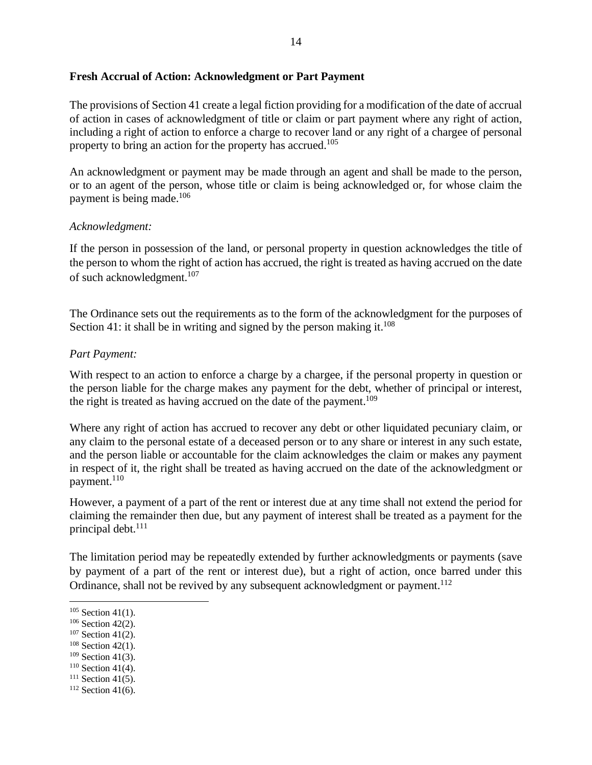#### **Fresh Accrual of Action: Acknowledgment or Part Payment**

The provisions of Section 41 create a legal fiction providing for a modification of the date of accrual of action in cases of acknowledgment of title or claim or part payment where any right of action, including a right of action to enforce a charge to recover land or any right of a chargee of personal property to bring an action for the property has accrued.<sup>105</sup>

An acknowledgment or payment may be made through an agent and shall be made to the person, or to an agent of the person, whose title or claim is being acknowledged or, for whose claim the payment is being made. 106

#### *Acknowledgment:*

If the person in possession of the land, or personal property in question acknowledges the title of the person to whom the right of action has accrued, the right is treated as having accrued on the date of such acknowledgment. 107

The Ordinance sets out the requirements as to the form of the acknowledgment for the purposes of Section 41: it shall be in writing and signed by the person making it.<sup>108</sup>

#### *Part Payment:*

With respect to an action to enforce a charge by a chargee, if the personal property in question or the person liable for the charge makes any payment for the debt, whether of principal or interest, the right is treated as having accrued on the date of the payment.<sup>109</sup>

Where any right of action has accrued to recover any debt or other liquidated pecuniary claim, or any claim to the personal estate of a deceased person or to any share or interest in any such estate, and the person liable or accountable for the claim acknowledges the claim or makes any payment in respect of it, the right shall be treated as having accrued on the date of the acknowledgment or payment.<sup>110</sup>

However, a payment of a part of the rent or interest due at any time shall not extend the period for claiming the remainder then due, but any payment of interest shall be treated as a payment for the principal debt.<sup>111</sup>

The limitation period may be repeatedly extended by further acknowledgments or payments (save by payment of a part of the rent or interest due), but a right of action, once barred under this Ordinance, shall not be revived by any subsequent acknowledgment or payment.<sup>112</sup>

 $105$  Section 41(1).

 $106$  Section 42(2).

<sup>&</sup>lt;sup>107</sup> Section 41(2).

<sup>&</sup>lt;sup>108</sup> Section 42(1).

 $109$  Section 41(3).

 $110$  Section 41(4).

 $111$  Section 41(5).

 $112$  Section 41(6).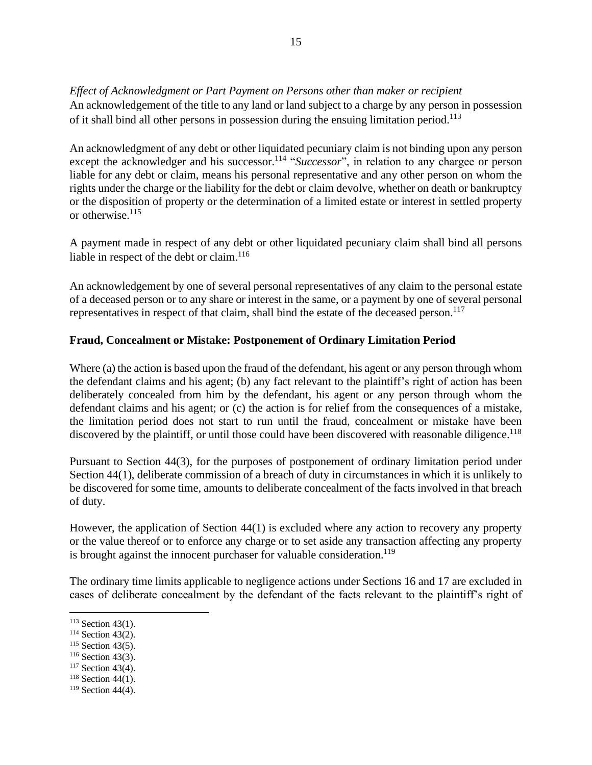*Effect of Acknowledgment or Part Payment on Persons other than maker or recipient* 

An acknowledgement of the title to any land or land subject to a charge by any person in possession of it shall bind all other persons in possession during the ensuing limitation period.<sup>113</sup>

An acknowledgment of any debt or other liquidated pecuniary claim is not binding upon any person except the acknowledger and his successor.<sup>114</sup> "*Successor*", in relation to any chargee or person liable for any debt or claim, means his personal representative and any other person on whom the rights under the charge or the liability for the debt or claim devolve, whether on death or bankruptcy or the disposition of property or the determination of a limited estate or interest in settled property or otherwise. 115

A payment made in respect of any debt or other liquidated pecuniary claim shall bind all persons liable in respect of the debt or claim. 116

An acknowledgement by one of several personal representatives of any claim to the personal estate of a deceased person or to any share or interest in the same, or a payment by one of several personal representatives in respect of that claim, shall bind the estate of the deceased person.<sup>117</sup>

## **Fraud, Concealment or Mistake: Postponement of Ordinary Limitation Period**

Where (a) the action is based upon the fraud of the defendant, his agent or any person through whom the defendant claims and his agent; (b) any fact relevant to the plaintiff's right of action has been deliberately concealed from him by the defendant, his agent or any person through whom the defendant claims and his agent; or (c) the action is for relief from the consequences of a mistake, the limitation period does not start to run until the fraud, concealment or mistake have been discovered by the plaintiff, or until those could have been discovered with reasonable diligence.<sup>118</sup>

Pursuant to Section 44(3), for the purposes of postponement of ordinary limitation period under Section 44(1), deliberate commission of a breach of duty in circumstances in which it is unlikely to be discovered for some time, amounts to deliberate concealment of the facts involved in that breach of duty.

However, the application of Section 44(1) is excluded where any action to recovery any property or the value thereof or to enforce any charge or to set aside any transaction affecting any property is brought against the innocent purchaser for valuable consideration.<sup>119</sup>

The ordinary time limits applicable to negligence actions under Sections 16 and 17 are excluded in cases of deliberate concealment by the defendant of the facts relevant to the plaintiff's right of

 $113$  Section 43(1).

<sup>&</sup>lt;sup>114</sup> Section 43(2).

<sup>&</sup>lt;sup>115</sup> Section 43(5).

 $116$  Section 43(3).

<sup>&</sup>lt;sup>117</sup> Section 43(4).

 $118$  Section 44(1).

 $119$  Section 44(4).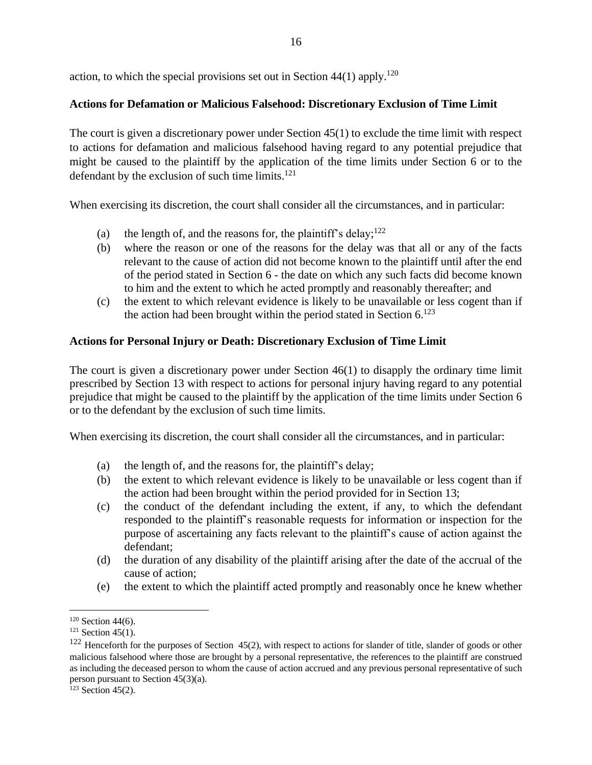action, to which the special provisions set out in Section  $44(1)$  apply.<sup>120</sup>

## **Actions for Defamation or Malicious Falsehood: Discretionary Exclusion of Time Limit**

The court is given a discretionary power under Section 45(1) to exclude the time limit with respect to actions for defamation and malicious falsehood having regard to any potential prejudice that might be caused to the plaintiff by the application of the time limits under Section 6 or to the defendant by the exclusion of such time limits.<sup>121</sup>

When exercising its discretion, the court shall consider all the circumstances, and in particular:

- (a) the length of, and the reasons for, the plaintiff's delay;  $122$
- (b) where the reason or one of the reasons for the delay was that all or any of the facts relevant to the cause of action did not become known to the plaintiff until after the end of the period stated in Section 6 *-* the date on which any such facts did become known to him and the extent to which he acted promptly and reasonably thereafter; and
- (c) the extent to which relevant evidence is likely to be unavailable or less cogent than if the action had been brought within the period stated in Section  $6$ .<sup>123</sup>

## **Actions for Personal Injury or Death: Discretionary Exclusion of Time Limit**

The court is given a discretionary power under Section 46(1) to disapply the ordinary time limit prescribed by Section 13 with respect to actions for personal injury having regard to any potential prejudice that might be caused to the plaintiff by the application of the time limits under Section 6 or to the defendant by the exclusion of such time limits.

When exercising its discretion, the court shall consider all the circumstances, and in particular:

- (a) the length of, and the reasons for, the plaintiff's delay;
- (b) the extent to which relevant evidence is likely to be unavailable or less cogent than if the action had been brought within the period provided for in Section 13;
- (c) the conduct of the defendant including the extent, if any, to which the defendant responded to the plaintiff's reasonable requests for information or inspection for the purpose of ascertaining any facts relevant to the plaintiff's cause of action against the defendant;
- (d) the duration of any disability of the plaintiff arising after the date of the accrual of the cause of action;
- (e) the extent to which the plaintiff acted promptly and reasonably once he knew whether

 $120$  Section 44(6).

 $121$  Section 45(1).

 $122$  Henceforth for the purposes of Section 45(2), with respect to actions for slander of title, slander of goods or other malicious falsehood where those are brought by a personal representative, the references to the plaintiff are construed as including the deceased person to whom the cause of action accrued and any previous personal representative of such person pursuant to Section 45(3)(a).

 $123$  Section 45(2).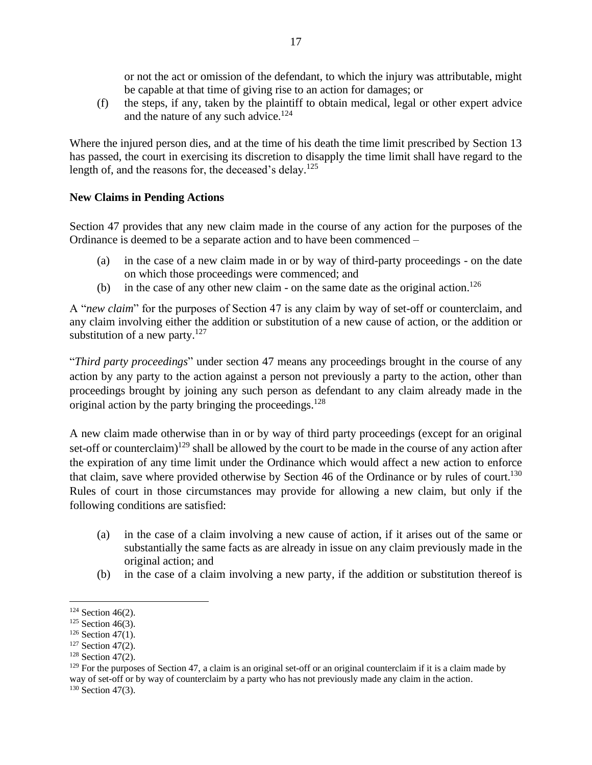or not the act or omission of the defendant, to which the injury was attributable, might be capable at that time of giving rise to an action for damages; or

(f) the steps, if any, taken by the plaintiff to obtain medical, legal or other expert advice and the nature of any such advice.<sup>124</sup>

Where the injured person dies, and at the time of his death the time limit prescribed by Section 13 has passed, the court in exercising its discretion to disapply the time limit shall have regard to the length of, and the reasons for, the deceased's delay.<sup>125</sup>

## **New Claims in Pending Actions**

Section 47 provides that any new claim made in the course of any action for the purposes of the Ordinance is deemed to be a separate action and to have been commenced –

- (a) in the case of a new claim made in or by way of third-party proceedings on the date on which those proceedings were commenced; and
- (b) in the case of any other new claim on the same date as the original action. 126

A "*new claim*" for the purposes of Section 47 is any claim by way of set-off or counterclaim, and any claim involving either the addition or substitution of a new cause of action, or the addition or substitution of a new party. $127$ 

"*Third party proceedings*" under section 47 means any proceedings brought in the course of any action by any party to the action against a person not previously a party to the action, other than proceedings brought by joining any such person as defendant to any claim already made in the original action by the party bringing the proceedings.<sup>128</sup>

A new claim made otherwise than in or by way of third party proceedings (except for an original set-off or counterclaim)<sup>129</sup> shall be allowed by the court to be made in the course of any action after the expiration of any time limit under the Ordinance which would affect a new action to enforce that claim, save where provided otherwise by Section 46 of the Ordinance or by rules of court.<sup>130</sup> Rules of court in those circumstances may provide for allowing a new claim, but only if the following conditions are satisfied:

- (a) in the case of a claim involving a new cause of action, if it arises out of the same or substantially the same facts as are already in issue on any claim previously made in the original action; and
- (b) in the case of a claim involving a new party, if the addition or substitution thereof is

 $124$  Section 46(2).

 $125$  Section 46(3).

 $126$  Section 47(1).

<sup>&</sup>lt;sup>127</sup> Section 47(2).

 $128$  Section 47(2).

 $129$  For the purposes of Section 47, a claim is an original set-off or an original counterclaim if it is a claim made by way of set-off or by way of counterclaim by a party who has not previously made any claim in the action. <sup>130</sup> Section 47(3).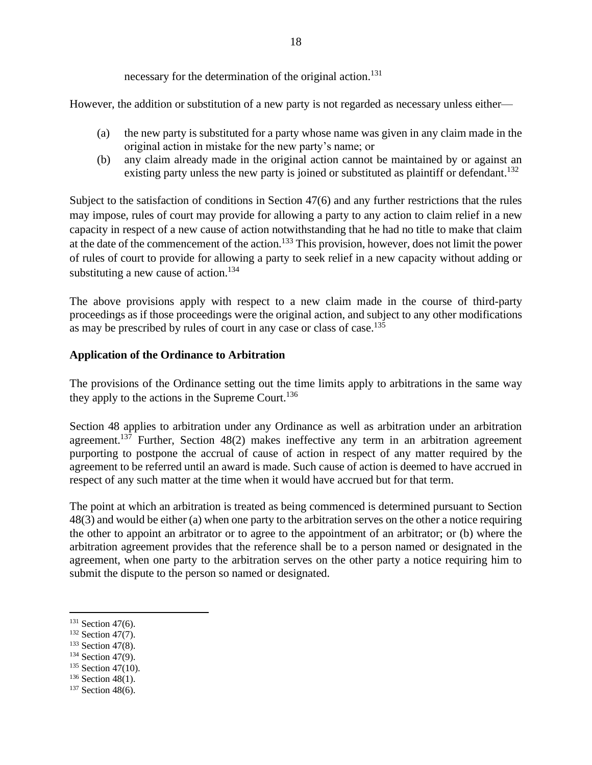necessary for the determination of the original action. 131

However, the addition or substitution of a new party is not regarded as necessary unless either—

- (a) the new party is substituted for a party whose name was given in any claim made in the original action in mistake for the new party's name; or
- (b) any claim already made in the original action cannot be maintained by or against an existing party unless the new party is joined or substituted as plaintiff or defendant.<sup>132</sup>

Subject to the satisfaction of conditions in Section 47(6) and any further restrictions that the rules may impose, rules of court may provide for allowing a party to any action to claim relief in a new capacity in respect of a new cause of action notwithstanding that he had no title to make that claim at the date of the commencement of the action.<sup>133</sup> This provision, however, does not limit the power of rules of court to provide for allowing a party to seek relief in a new capacity without adding or substituting a new cause of action.<sup>134</sup>

The above provisions apply with respect to a new claim made in the course of third-party proceedings as if those proceedings were the original action, and subject to any other modifications as may be prescribed by rules of court in any case or class of case.<sup>135</sup>

#### **Application of the Ordinance to Arbitration**

The provisions of the Ordinance setting out the time limits apply to arbitrations in the same way they apply to the actions in the Supreme Court.<sup>136</sup>

Section 48 applies to arbitration under any Ordinance as well as arbitration under an arbitration agreement.<sup>137</sup> Further, Section  $48(2)$  makes ineffective any term in an arbitration agreement purporting to postpone the accrual of cause of action in respect of any matter required by the agreement to be referred until an award is made. Such cause of action is deemed to have accrued in respect of any such matter at the time when it would have accrued but for that term.

The point at which an arbitration is treated as being commenced is determined pursuant to Section 48(3) and would be either (a) when one party to the arbitration serves on the other a notice requiring the other to appoint an arbitrator or to agree to the appointment of an arbitrator; or (b) where the arbitration agreement provides that the reference shall be to a person named or designated in the agreement, when one party to the arbitration serves on the other party a notice requiring him to submit the dispute to the person so named or designated.

- <sup>132</sup> Section 47(7).
- <sup>133</sup> Section 47(8).
- $134$  Section 47(9).
- <sup>135</sup> Section 47(10).
- $136$  Section 48(1).
- <sup>137</sup> Section 48(6).

 $131$  Section 47(6).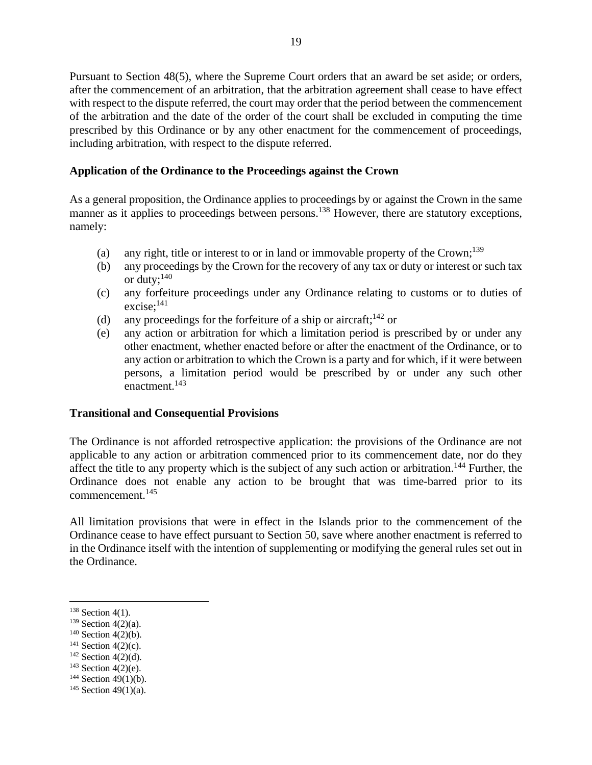Pursuant to Section 48(5), where the Supreme Court orders that an award be set aside; or orders, after the commencement of an arbitration, that the arbitration agreement shall cease to have effect with respect to the dispute referred, the court may order that the period between the commencement of the arbitration and the date of the order of the court shall be excluded in computing the time prescribed by this Ordinance or by any other enactment for the commencement of proceedings, including arbitration, with respect to the dispute referred.

#### **Application of the Ordinance to the Proceedings against the Crown**

As a general proposition, the Ordinance applies to proceedings by or against the Crown in the same manner as it applies to proceedings between persons.<sup>138</sup> However, there are statutory exceptions, namely:

- (a) any right, title or interest to or in land or immovable property of the Crown;<sup>139</sup>
- (b) any proceedings by the Crown for the recovery of any tax or duty or interest or such tax or duty;<sup>140</sup>
- (c) any forfeiture proceedings under any Ordinance relating to customs or to duties of excise; 141
- (d) any proceedings for the forfeiture of a ship or aircraft;  $142$  or
- (e) any action or arbitration for which a limitation period is prescribed by or under any other enactment, whether enacted before or after the enactment of the Ordinance, or to any action or arbitration to which the Crown is a party and for which, if it were between persons, a limitation period would be prescribed by or under any such other enactment. 143

#### **Transitional and Consequential Provisions**

The Ordinance is not afforded retrospective application: the provisions of the Ordinance are not applicable to any action or arbitration commenced prior to its commencement date, nor do they affect the title to any property which is the subject of any such action or arbitration.<sup>144</sup> Further, the Ordinance does not enable any action to be brought that was time-barred prior to its commencement. 145

All limitation provisions that were in effect in the Islands prior to the commencement of the Ordinance cease to have effect pursuant to Section 50, save where another enactment is referred to in the Ordinance itself with the intention of supplementing or modifying the general rules set out in the Ordinance.

- $140$  Section 4(2)(b).
- $141$  Section 4(2)(c).
- $142$  Section 4(2)(d).
- $143$  Section 4(2)(e).
- $144$  Section 49(1)(b).

<sup>&</sup>lt;sup>138</sup> Section 4(1).

 $139$  Section 4(2)(a).

 $145$  Section 49(1)(a).